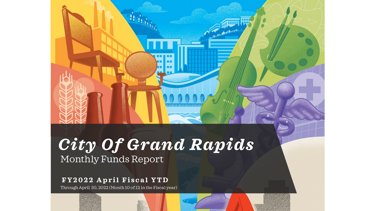# Monthly Funds Report *City Of Grand Rapids*

Authority

### **FY2022 April Fiscal YTD**

Through April 30, 2022 (Month 10 of 12 in the Fiscal year)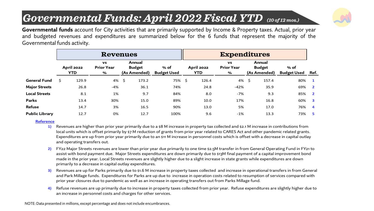## *Governmental Funds: April 2022 Fiscal YTD (10 of 12 mos.)*



**Governmental funds** account for City activities that are primarily supported by Income & Property taxes. Actual, prior year and budgeted revenues and expenditures are summarized below for the 6 funds that represent the majority of the Governmental funds activity.

|                       |     |                                                                 | <b>Revenues</b> |    |                                         |                              | <b>Expenditures</b> |                                 |                                     |   |                                         |                              |                         |  |  |  |
|-----------------------|-----|-----------------------------------------------------------------|-----------------|----|-----------------------------------------|------------------------------|---------------------|---------------------------------|-------------------------------------|---|-----------------------------------------|------------------------------|-------------------------|--|--|--|
|                       |     | <b>VS</b><br><b>Prior Year</b><br><b>April 2022</b><br>YTD<br>% |                 |    | Annual<br><b>Budget</b><br>(As Amended) | $%$ of<br><b>Budget Used</b> |                     | <b>April 2022</b><br><b>YTD</b> | <b>VS</b><br><b>Prior Year</b><br>% |   | Annual<br><b>Budget</b><br>(As Amended) | $%$ of<br><b>Budget Used</b> | Ref.                    |  |  |  |
| General Fund          | \$. | 129.9                                                           | 4%              | Ŝ. | 173.2                                   | 75% \$                       |                     | 126.4                           | 4%                                  | Ŝ | 157.4                                   | 80%                          |                         |  |  |  |
| <b>Major Streets</b>  |     | 26.8                                                            | $-4%$           |    | 36.1                                    | 74%                          |                     | 24.8                            | $-42%$                              |   | 35.9                                    | 69%                          | $\overline{\mathbf{2}}$ |  |  |  |
| <b>Local Streets</b>  |     | 8.1                                                             | 1%              |    | 9.7                                     | 84%                          |                     | 8.0                             | -7%                                 |   | 9.3                                     | 85%                          | $\overline{\mathbf{2}}$ |  |  |  |
| Parks                 |     | 13.4                                                            | 30%             |    | 15.0                                    | 89%                          |                     | 10.0                            | 17%                                 |   | 16.8                                    | 60%                          | -3                      |  |  |  |
| Refuse                |     | 14.7                                                            | 3%              |    | 16.5                                    | 90%                          |                     | 13.0                            | 5%                                  |   | 17.0                                    | 76%                          | $\boldsymbol{A}$        |  |  |  |
| <b>Public Library</b> |     | 12.7                                                            | 0%              |    | 12.7                                    | 100%                         |                     | 9.6                             | $-1\%$                              |   | 13.3                                    | 73%                          | -5                      |  |  |  |

#### **Reference**

- **1)** Revenues are higher than prior year primarily due to a \$8 M increase in property tax collected and \$2.1 M increase in contributions from local units which is offset primarily by \$7 M reduction of grants from prior year related to CARES Act and other pandemic related grants. Expenditures are up from prior year primarily due to an \$11 M increase in personnel costs which is offset with a decrease in capital outlay and operating transfers out.
- **2)** FY22 Major Streets revenues are lower than prior year due primarily to one time \$2.5M transfer in from General Operating Fund in FY21 to assist with bond payment due. Major Streets expenditures are down primarily due to \$13M final payment of a capital improvement bond made in the prior year. Local Streets revenues are slightly higher due to a slight increase in state grants while expenditures are down primarily to a decrease in capital outlay expenditures.
- **3)** Revenues are up for Parks primarily due to \$1.6 M increase in property taxes collected and increase in operational transfers in from General and Park Millage funds. Expenditures for Parks are up due to increase in operation costs related to resumption of services compared with prior year closures due to pandemic as well as an increase in operating transfers out from Parks Millage fund.
- **4)** Refuse revenues are up primarily due to increase in property taxes collected from prior year. Refuse expenditures are slightly higher due to an increase in personnel costs and charges for other services.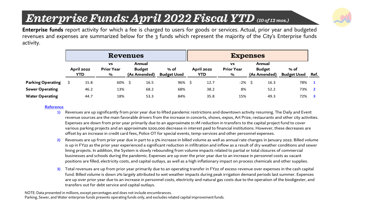## *E Enterprise Funds: April 2022 Fiscal YTD (10 of 12 mos.)*



**Enterprise funds** report activity for which a fee is charged to users for goods or services. Actual, prior year and budgeted revenues and expenses are summarized below for the 3 funds which represent the majority of the City's Enterprise funds activity.

|                        |                                 | <b>Revenues</b>                     |                                         |                            | <b>Expenses</b> |                                 |                                     |    |                                         |                            |      |  |  |
|------------------------|---------------------------------|-------------------------------------|-----------------------------------------|----------------------------|-----------------|---------------------------------|-------------------------------------|----|-----------------------------------------|----------------------------|------|--|--|
|                        | <b>April 2022</b><br><b>YTD</b> | <b>VS</b><br><b>Prior Year</b><br>% | Annual<br><b>Budget</b><br>(As Amended) | % of<br><b>Budget Used</b> |                 | <b>April 2022</b><br><b>YTD</b> | <b>VS</b><br><b>Prior Year</b><br>% |    | Annual<br><b>Budget</b><br>(As Amended) | % of<br><b>Budget Used</b> | Ref. |  |  |
| Parking Operating      | 15.8                            | 60%                                 | 16.5                                    | 96%\$                      |                 | 12.7                            | -2%                                 | -S | 16.3                                    | 78%                        |      |  |  |
| <b>Sewer Operating</b> | 46.2                            | 13%                                 | 68.2                                    | 68%                        |                 | 38.2                            | 8%                                  |    | 52.2                                    | 73%                        |      |  |  |
| <b>Water Operating</b> | 44.7                            | 18%                                 | 53.3                                    | 84%                        |                 | 35.8                            | 15%                                 |    | 49.3                                    | 72%                        |      |  |  |

#### **Reference**

- **1)** Revenues are up significantly from prior year due to lifted pandemic restrictions and downtown activity resuming. The Daily and Event revenue sources are the main favorable drivers from the increase in concerts, shows, expos, Art Prize, restaurants and other city activities. Expenses are down from prior year primarily due to an approximate \$1.1M reduction in transfers to the capital project fund to cover various parking projects and an approximate \$200,000 decrease in interest paid to financial institutions. However, these decreases are offset by an increase in credit card fees, Police OT for special events, temp-services and other personnel expenses.
- **2)** Revenues are up from prior year due in part to a 5% increase in billed volume as well as annual rate changes in January 2022. Billed volume is up in FY22 as the prior year experienced a significant reduction in infiltration and inflow as a result of dry weather conditions and sewer lining projects. In addition, the System is slowly rebounding from volume impacts related to partial or total closures of commercial businesses and schools during the pandemic. Expenses are up over the prior year due to an increase in personnel costs as vacant positions are filled, electricity costs, and capital outlays, as well as a high inflationary impact on process chemicals and other supplies.
- **3)** Total revenues are up from prior year primarily due to an operating transfer in FY22 of excess revenue over expenses in the cash capital fund. Billed volume is down 2% largely attributed to wet weather impacts during peak irrigation demand periods last summer. Expenses are up over prior year due to an increase in personnel costs, electricity and natural gas costs due to the operation of the biodigester, and transfers out for debt service and capital outlays.

NOTE: Data presented in millions, except percentages and does not include encumbrances. Parking, Sewer, and Water enterprise funds presents operating funds only, and excludes related capital improvement funds.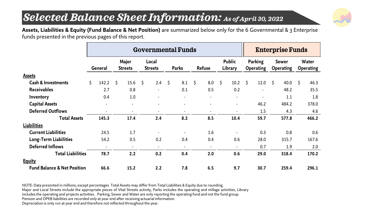### *S Selected Balance Sheet Information: As of April 30, 2022*



**Assets, Liabilities & Equity (Fund Balance & Net Position)** are summarized below only for the 6 Governmental & 3 Enterprise funds presented in the previous pages of this report.

|                                        | <b>Governmental Funds</b> |                |                         |                              |                         |                          |              |                          |               |                          |                          |                |                             |                          | <b>Enterprise Funds</b>          |       |                                  |       |  |  |
|----------------------------------------|---------------------------|----------------|-------------------------|------------------------------|-------------------------|--------------------------|--------------|--------------------------|---------------|--------------------------|--------------------------|----------------|-----------------------------|--------------------------|----------------------------------|-------|----------------------------------|-------|--|--|
|                                        | General                   |                | Major<br><b>Streets</b> |                              | Local<br><b>Streets</b> |                          | <b>Parks</b> |                          | <b>Refuse</b> |                          | <b>Public</b><br>Library |                | Parking<br><b>Operating</b> |                          | <b>Sewer</b><br><b>Operating</b> |       | <b>Water</b><br><b>Operating</b> |       |  |  |
| <b>Assets</b>                          |                           |                |                         |                              |                         |                          |              |                          |               |                          |                          |                |                             |                          |                                  |       |                                  |       |  |  |
| <b>Cash &amp; Investments</b>          | Ś.                        | 142.2          | \$                      | 15.6                         | \$                      | 2.4                      | \$           | 8.1                      | \$            | 8.0                      | $\zeta$                  | 10.2           | \$                          | 12.0                     | \$                               | 40.0  | \$                               | 46.3  |  |  |
| <b>Receivables</b>                     |                           | 2.7            |                         | 0.8                          |                         | $\overline{\phantom{a}}$ |              | 0.1                      |               | 0.5                      |                          | 0.2            |                             | $\overline{\phantom{a}}$ |                                  | 48.2  |                                  | 35.5  |  |  |
| Inventory                              |                           | 0.4            |                         | 1.0                          |                         |                          |              |                          |               | $\blacksquare$           |                          | $\blacksquare$ |                             | $\blacksquare$           |                                  | 1.1   |                                  | 1.8   |  |  |
| <b>Capital Assets</b>                  |                           | $\blacksquare$ |                         | $\overline{\phantom{0}}$     |                         |                          |              |                          |               |                          |                          |                |                             | 46.2                     |                                  | 484.2 |                                  | 378.0 |  |  |
| <b>Deferred Outflows</b>               |                           |                |                         | $\qquad \qquad \blacksquare$ |                         |                          |              |                          |               |                          |                          |                |                             | 1.5                      |                                  | 4.3   |                                  | 4.6   |  |  |
| <b>Total Assets</b>                    |                           | 145.3          | 17.4                    |                              | 2.4                     |                          | 8.2          |                          | 8.5           |                          | 10.4                     |                | 59.7                        |                          | 577.8                            |       | 466.2                            |       |  |  |
| <b>Liabilities</b>                     |                           |                |                         |                              |                         |                          |              |                          |               |                          |                          |                |                             |                          |                                  |       |                                  |       |  |  |
| <b>Current Liabilities</b>             |                           | 24.5           |                         | 1.7                          |                         |                          |              | $\overline{\phantom{a}}$ |               | 1.6                      |                          |                |                             | 0.3                      |                                  | 0.8   |                                  | 0.6   |  |  |
| Long-Term Liabilities                  |                           | 54.2           |                         | 0.5                          |                         | 0.2                      |              | 0.4                      |               | 0.4                      |                          | 0.6            |                             | 28.0                     |                                  | 315.7 |                                  | 167.6 |  |  |
| <b>Deferred Inflows</b>                |                           |                |                         | $\overline{\phantom{a}}$     |                         |                          |              |                          |               | $\overline{\phantom{a}}$ |                          |                |                             | 0.7                      |                                  | 1.9   |                                  | 2.0   |  |  |
| <b>Total Liabilities</b>               |                           | 78.7           |                         | 2.2                          |                         | 0.2                      |              | 0.4                      |               | 2.0                      |                          | 0.6            |                             | 29.0                     |                                  | 318.4 |                                  | 170.2 |  |  |
| <b>Equity</b>                          |                           |                |                         |                              |                         |                          |              |                          |               |                          |                          |                |                             |                          |                                  |       |                                  |       |  |  |
| <b>Fund Balance &amp; Net Position</b> |                           | 66.6           |                         | 15.2                         |                         | 2.2                      |              | 7.8                      |               | 6.5                      |                          | 9.7            |                             | 30.7                     |                                  | 259.4 |                                  | 296.1 |  |  |

NOTE: Data presented in millions, except percentages Total Assets may differ from Total Liabilities & Equity due to rounding. Major and Local Streets include the appropriate pieces of Vital Streets activity, Parks includes the operating and millage activities, Library includes the operating and projects activities. Parking, Sewer and Water are only reporting the operating fund and not the fund group. Pension and OPEB liabilities are recorded only at year end after receiving actuarial information.

Depreciation is only run at year end and therefore not reflected throughout the year.